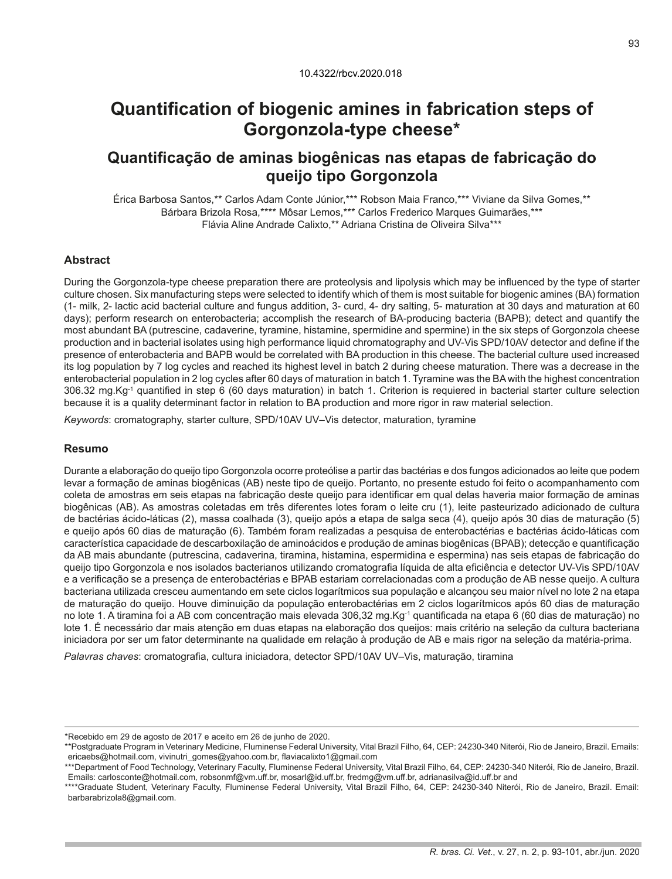# **Quantification of biogenic amines in fabrication steps of Gorgonzola-type cheese\***

## **Quantificação de aminas biogênicas nas etapas de fabricação do queijo tipo Gorgonzola**

Érica Barbosa Santos,\*\* Carlos Adam Conte Júnior,\*\*\* Robson Maia Franco,\*\*\* Viviane da Silva Gomes,\*\* Bárbara Brizola Rosa,\*\*\*\* Môsar Lemos,\*\*\* Carlos Frederico Marques Guimarães,\*\*\* Flávia Aline Andrade Calixto,\*\* Adriana Cristina de Oliveira Silva\*\*\*

## **Abstract**

During the Gorgonzola-type cheese preparation there are proteolysis and lipolysis which may be influenced by the type of starter culture chosen. Six manufacturing steps were selected to identify which of them is most suitable for biogenic amines (BA) formation (1- milk, 2- lactic acid bacterial culture and fungus addition, 3- curd, 4- dry salting, 5- maturation at 30 days and maturation at 60 days); perform research on enterobacteria; accomplish the research of BA-producing bacteria (BAPB); detect and quantify the most abundant BA (putrescine, cadaverine, tyramine, histamine, spermidine and spermine) in the six steps of Gorgonzola cheese production and in bacterial isolates using high performance liquid chromatography and UV-Vis SPD/10AV detector and define if the presence of enterobacteria and BAPB would be correlated with BA production in this cheese. The bacterial culture used increased its log population by 7 log cycles and reached its highest level in batch 2 during cheese maturation. There was a decrease in the enterobacterial population in 2 log cycles after 60 days of maturation in batch 1. Tyramine was the BA with the highest concentration 306.32 mg.Kg-1 quantified in step 6 (60 days maturation) in batch 1. Criterion is requiered in bacterial starter culture selection because it is a quality determinant factor in relation to BA production and more rigor in raw material selection.

*Keywords*: cromatography, starter culture, SPD/10AV UV–Vis detector, maturation, tyramine

## **Resumo**

Durante a elaboração do queijo tipo Gorgonzola ocorre proteólise a partir das bactérias e dos fungos adicionados ao leite que podem levar a formação de aminas biogênicas (AB) neste tipo de queijo. Portanto, no presente estudo foi feito o acompanhamento com coleta de amostras em seis etapas na fabricação deste queijo para identificar em qual delas haveria maior formação de aminas biogênicas (AB). As amostras coletadas em três diferentes lotes foram o leite cru (1), leite pasteurizado adicionado de cultura de bactérias ácido-láticas (2), massa coalhada (3), queijo após a etapa de salga seca (4), queijo após 30 dias de maturação (5) e queijo após 60 dias de maturação (6). Também foram realizadas a pesquisa de enterobactérias e bactérias ácido-láticas com característica capacidade de descarboxilação de aminoácidos e produção de aminas biogênicas (BPAB); detecção e quantificação da AB mais abundante (putrescina, cadaverina, tiramina, histamina, espermidina e espermina) nas seis etapas de fabricação do queijo tipo Gorgonzola e nos isolados bacterianos utilizando cromatografia líquida de alta eficiência e detector UV-Vis SPD/10AV e a verificação se a presença de enterobactérias e BPAB estariam correlacionadas com a produção de AB nesse queijo. A cultura bacteriana utilizada cresceu aumentando em sete ciclos logarítmicos sua população e alcançou seu maior nível no lote 2 na etapa de maturação do queijo. Houve diminuição da população enterobactérias em 2 ciclos logarítmicos após 60 dias de maturação no lote 1. A tiramina foi a AB com concentração mais elevada 306,32 mg.Kg<sup>-1</sup> quantificada na etapa 6 (60 dias de maturação) no lote 1. É necessário dar mais atenção em duas etapas na elaboração dos queijos: mais critério na seleção da cultura bacteriana iniciadora por ser um fator determinante na qualidade em relação à produção de AB e mais rigor na seleção da matéria-prima.

*Palavras chaves*: cromatografia, cultura iniciadora, detector SPD/10AV UV–Vis, maturação, tiramina

<sup>\*</sup>Recebido em 29 de agosto de 2017 e aceito em 26 de junho de 2020.

<sup>\*\*</sup>Postgraduate Program in Veterinary Medicine, Fluminense Federal University, Vital Brazil Filho, 64, CEP: 24230-340 Niterói, Rio de Janeiro, Brazil. Emails: ericaebs@hotmail.com, vivinutri\_gomes@yahoo.com.br, flaviacalixto1@gmail.com

<sup>\*\*\*</sup>Department of Food Technology, Veterinary Faculty, Fluminense Federal University, Vital Brazil Filho, 64, CEP: 24230-340 Niterói, Rio de Janeiro, Brazil. Emails: carlosconte@hotmail.com, robsonmf@vm.uff.br, mosarl@id.uff.br, fredmg@vm.uff.br, adrianasilva@id.uff.br and

<sup>\*\*\*\*</sup>Graduate Student, Veterinary Faculty, Fluminense Federal University, Vital Brazil Filho, 64, CEP: 24230-340 Niterói, Rio de Janeiro, Brazil. Email: barbarabrizola8@gmail.com.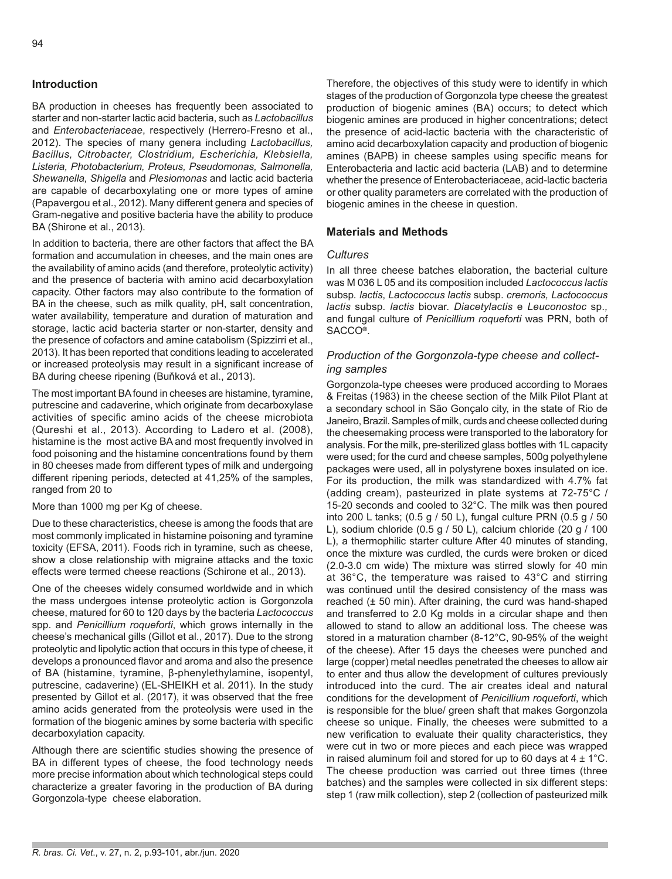## **Introduction**

BA production in cheeses has frequently been associated to starter and non-starter lactic acid bacteria, such as *Lactobacillus* and *Enterobacteriaceae*, respectively (Herrero-Fresno et al., 2012). The species of many genera including *Lactobacillus, Bacillus, Citrobacter, Clostridium, Escherichia, Klebsiella, Listeria, Photobacterium, Proteus, Pseudomonas, Salmonella, Shewanella, Shigella* and *Plesiomonas* and lactic acid bacteria are capable of decarboxylating one or more types of amine (Papavergou et al., 2012). Many different genera and species of Gram-negative and positive bacteria have the ability to produce BA (Shirone et al., 2013).

In addition to bacteria, there are other factors that affect the BA formation and accumulation in cheeses, and the main ones are the availability of amino acids (and therefore, proteolytic activity) and the presence of bacteria with amino acid decarboxylation capacity. Other factors may also contribute to the formation of BA in the cheese, such as milk quality, pH, salt concentration, water availability, temperature and duration of maturation and storage, lactic acid bacteria starter or non-starter, density and the presence of cofactors and amine catabolism (Spizzirri et al., 2013). It has been reported that conditions leading to accelerated or increased proteolysis may result in a significant increase of BA during cheese ripening (Buňková et al., 2013).

The most important BA found in cheeses are histamine, tyramine, putrescine and cadaverine, which originate from decarboxylase activities of specific amino acids of the cheese microbiota (Qureshi et al., 2013). According to Ladero et al. (2008), histamine is the most active BA and most frequently involved in food poisoning and the histamine concentrations found by them in 80 cheeses made from different types of milk and undergoing different ripening periods, detected at 41,25% of the samples, ranged from 20 to

More than 1000 mg per Kg of cheese.

Due to these characteristics, cheese is among the foods that are most commonly implicated in histamine poisoning and tyramine toxicity (EFSA, 2011). Foods rich in tyramine, such as cheese, show a close relationship with migraine attacks and the toxic effects were termed cheese reactions (Schirone et al., 2013).

One of the cheeses widely consumed worldwide and in which the mass undergoes intense proteolytic action is Gorgonzola cheese, matured for 60 to 120 days by the bacteria *Lactococcus* spp. and *Penicillium roqueforti*, which grows internally in the cheese's mechanical gills (Gillot et al., 2017). Due to the strong proteolytic and lipolytic action that occurs in this type of cheese, it develops a pronounced flavor and aroma and also the presence of BA (histamine, tyramine, β-phenylethylamine, isopentyl, putrescine, cadaverine) (EL-SHEIKH et al. 2011). In the study presented by Gillot et al. (2017), it was observed that the free amino acids generated from the proteolysis were used in the formation of the biogenic amines by some bacteria with specific decarboxylation capacity.

Although there are scientific studies showing the presence of BA in different types of cheese, the food technology needs more precise information about which technological steps could characterize a greater favoring in the production of BA during Gorgonzola-type cheese elaboration.

Therefore, the objectives of this study were to identify in which stages of the production of Gorgonzola type cheese the greatest production of biogenic amines (BA) occurs; to detect which biogenic amines are produced in higher concentrations; detect the presence of acid-lactic bacteria with the characteristic of amino acid decarboxylation capacity and production of biogenic amines (BAPB) in cheese samples using specific means for Enterobacteria and lactic acid bacteria (LAB) and to determine whether the presence of Enterobacteriaceae, acid-lactic bacteria or other quality parameters are correlated with the production of biogenic amines in the cheese in question.

## **Materials and Methods**

#### *Cultures*

In all three cheese batches elaboration, the bacterial culture was M 036 L 05 and its composition included *Lactococcus lactis* subsp*. lactis*, *Lactococcus lactis* subsp. *cremoris, Lactococcus lactis* subsp*. lactis* biovar. *Diacetylactis* e *Leuconostoc* sp.*,*  and fungal culture of *Penicillium roqueforti* was PRN, both of SACCO**®**.

## *Production of the Gorgonzola-type cheese and collecting samples*

Gorgonzola-type cheeses were produced according to Moraes & Freitas (1983) in the cheese section of the Milk Pilot Plant at a secondary school in São Gonçalo city, in the state of Rio de Janeiro, Brazil. Samples of milk, curds and cheese collected during the cheesemaking process were transported to the laboratory for analysis. For the milk, pre-sterilized glass bottles with 1L capacity were used; for the curd and cheese samples, 500g polyethylene packages were used, all in polystyrene boxes insulated on ice. For its production, the milk was standardized with 4.7% fat (adding cream), pasteurized in plate systems at 72-75°C / 15-20 seconds and cooled to 32°C. The milk was then poured into 200 L tanks; (0.5 g / 50 L), fungal culture PRN (0.5 g / 50 L), sodium chloride (0.5 g / 50 L), calcium chloride (20 g / 100 L), a thermophilic starter culture After 40 minutes of standing, once the mixture was curdled, the curds were broken or diced (2.0-3.0 cm wide) The mixture was stirred slowly for 40 min at 36°C, the temperature was raised to 43°C and stirring was continued until the desired consistency of the mass was reached  $(± 50 min)$ . After draining, the curd was hand-shaped and transferred to 2.0 Kg molds in a circular shape and then allowed to stand to allow an additional loss. The cheese was stored in a maturation chamber (8-12°C, 90-95% of the weight of the cheese). After 15 days the cheeses were punched and large (copper) metal needles penetrated the cheeses to allow air to enter and thus allow the development of cultures previously introduced into the curd. The air creates ideal and natural conditions for the development of *Penicillium roqueforti*, which is responsible for the blue/ green shaft that makes Gorgonzola cheese so unique. Finally, the cheeses were submitted to a new verification to evaluate their quality characteristics, they were cut in two or more pieces and each piece was wrapped in raised aluminum foil and stored for up to 60 days at  $4 \pm 1^{\circ}$ C. The cheese production was carried out three times (three batches) and the samples were collected in six different steps: step 1 (raw milk collection), step 2 (collection of pasteurized milk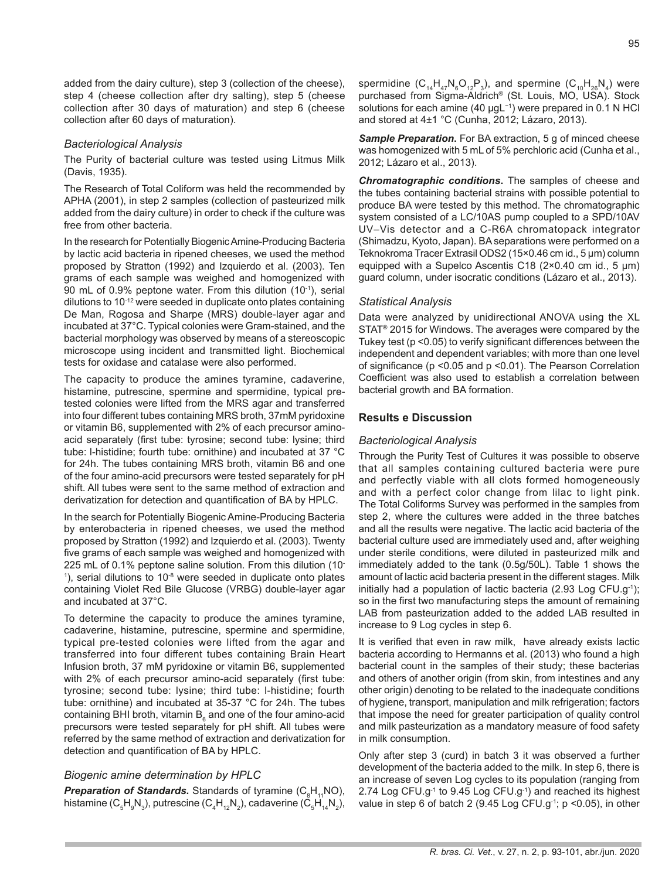added from the dairy culture), step 3 (collection of the cheese), step 4 (cheese collection after dry salting), step 5 (cheese collection after 30 days of maturation) and step 6 (cheese collection after 60 days of maturation).

#### *Bacteriological Analysis*

The Purity of bacterial culture was tested using Litmus Milk (Davis, 1935).

The Research of Total Coliform was held the recommended by APHA (2001), in step 2 samples (collection of pasteurized milk added from the dairy culture) in order to check if the culture was free from other bacteria.

In the research for Potentially Biogenic Amine-Producing Bacteria by lactic acid bacteria in ripened cheeses, we used the method proposed by Stratton (1992) and Izquierdo et al. (2003). Ten grams of each sample was weighed and homogenized with 90 mL of 0.9% peptone water. From this dilution (10<sup>-1</sup>), serial dilutions to 10-12 were seeded in duplicate onto plates containing De Man, Rogosa and Sharpe (MRS) double-layer agar and incubated at 37°C. Typical colonies were Gram-stained, and the bacterial morphology was observed by means of a stereoscopic microscope using incident and transmitted light. Biochemical tests for oxidase and catalase were also performed.

The capacity to produce the amines tyramine, cadaverine, histamine, putrescine, spermine and spermidine, typical pretested colonies were lifted from the MRS agar and transferred into four different tubes containing MRS broth, 37mM pyridoxine or vitamin B6, supplemented with 2% of each precursor aminoacid separately (first tube: tyrosine; second tube: lysine; third tube: l-histidine; fourth tube: ornithine) and incubated at 37 °C for 24h. The tubes containing MRS broth, vitamin B6 and one of the four amino-acid precursors were tested separately for pH shift. All tubes were sent to the same method of extraction and derivatization for detection and quantification of BA by HPLC.

In the search for Potentially Biogenic Amine-Producing Bacteria by enterobacteria in ripened cheeses, we used the method proposed by Stratton (1992) and Izquierdo et al. (2003). Twenty five grams of each sample was weighed and homogenized with 225 mL of 0.1% peptone saline solution. From this dilution (10-  $<sup>1</sup>$ ), serial dilutions to 10<sup>-8</sup> were seeded in duplicate onto plates</sup> containing Violet Red Bile Glucose (VRBG) double-layer agar and incubated at 37°C.

To determine the capacity to produce the amines tyramine, cadaverine, histamine, putrescine, spermine and spermidine, typical pre-tested colonies were lifted from the agar and transferred into four different tubes containing Brain Heart Infusion broth, 37 mM pyridoxine or vitamin B6, supplemented with 2% of each precursor amino-acid separately (first tube: tyrosine; second tube: lysine; third tube: l-histidine; fourth tube: ornithine) and incubated at 35-37 °C for 24h. The tubes containing BHI broth, vitamin  $\mathsf{B}_{_{6}}$  and one of the four amino-acid precursors were tested separately for pH shift. All tubes were referred by the same method of extraction and derivatization for detection and quantification of BA by HPLC.

#### *Biogenic amine determination by HPLC*

*Preparation of Standards***.** Standards of tyramine (C<sub>8</sub>H<sub>11</sub>NO), histamine (C $_{5}$ H $_{9}$ N $_{3}$ ), putrescine (C $_{4}$ H $_{12}$ N $_{2}$ ), cadaverine (C $_{5}$ H $_{14}$ N $_{2}$ ), spermidine  $(C_{14}H_{47}N_{6}O_{12}P_{3})$ , and spermine  $(C_{10}H_{26}N_{4})$  were purchased from Sigma-Aldrich® (St. Louis, MO, USA). Stock solutions for each amine (40 µgL<sup>-1</sup>) were prepared in 0.1 N HCl and stored at 4±1 °C (Cunha, 2012; Lázaro, 2013).

**Sample Preparation.** For BA extraction, 5 g of minced cheese was homogenized with 5 mL of 5% perchloric acid (Cunha et al., 2012; Lázaro et al., 2013).

*Chromatographic conditions***.** The samples of cheese and the tubes containing bacterial strains with possible potential to produce BA were tested by this method. The chromatographic system consisted of a LC/10AS pump coupled to a SPD/10AV UV–Vis detector and a C-R6A chromatopack integrator (Shimadzu, Kyoto, Japan). BA separations were performed on a Teknokroma Tracer Extrasil ODS2 (15×0.46 cm id., 5 μm) column equipped with a Supelco Ascentis C18 (2×0.40 cm id., 5 μm) guard column, under isocratic conditions (Lázaro et al., 2013).

#### *Statistical Analysis*

Data were analyzed by unidirectional ANOVA using the XL STAT® 2015 for Windows. The averages were compared by the Tukey test (p <0.05) to verify significant differences between the independent and dependent variables; with more than one level of significance (p <0.05 and p <0.01). The Pearson Correlation Coefficient was also used to establish a correlation between bacterial growth and BA formation.

#### **Results e Discussion**

#### *Bacteriological Analysis*

Through the Purity Test of Cultures it was possible to observe that all samples containing cultured bacteria were pure and perfectly viable with all clots formed homogeneously and with a perfect color change from lilac to light pink. The Total Coliforms Survey was performed in the samples from step 2, where the cultures were added in the three batches and all the results were negative. The lactic acid bacteria of the bacterial culture used are immediately used and, after weighing under sterile conditions, were diluted in pasteurized milk and immediately added to the tank (0.5g/50L). Table 1 shows the amount of lactic acid bacteria present in the different stages. Milk initially had a population of lactic bacteria (2.93 Log CFU.g<sup>-1</sup>); so in the first two manufacturing steps the amount of remaining LAB from pasteurization added to the added LAB resulted in increase to 9 Log cycles in step 6.

It is verified that even in raw milk, have already exists lactic bacteria according to Hermanns et al. (2013) who found a high bacterial count in the samples of their study; these bacterias and others of another origin (from skin, from intestines and any other origin) denoting to be related to the inadequate conditions of hygiene, transport, manipulation and milk refrigeration; factors that impose the need for greater participation of quality control and milk pasteurization as a mandatory measure of food safety in milk consumption.

Only after step 3 (curd) in batch 3 it was observed a further development of the bacteria added to the milk. In step 6, there is an increase of seven Log cycles to its population (ranging from 2.74 Log CFU.g-1 to 9.45 Log CFU.g-1) and reached its highest value in step 6 of batch 2 (9.45 Log CFU.g<sup>-1</sup>;  $p$  <0.05), in other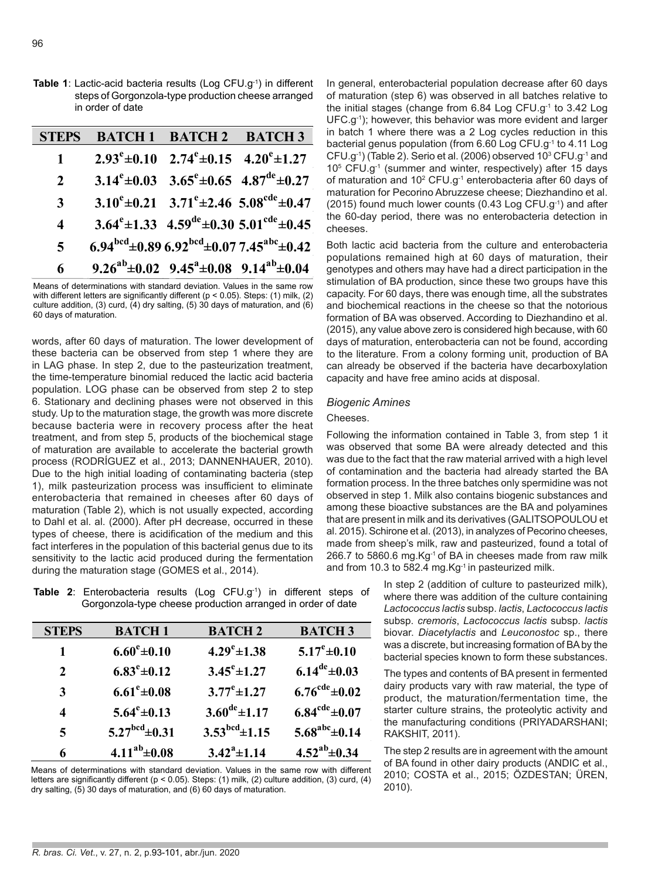**Table 1**: Lactic-acid bacteria results (Log CFU.g-1) in different steps of Gorgonzola-type production cheese arranged in order of date

| STEPS                   | <b>BATCH 1 BATCH 2 BATCH 3</b>                                           |                                                                            |
|-------------------------|--------------------------------------------------------------------------|----------------------------------------------------------------------------|
| $\mathbf 1$             | $2.93^{\circ} \pm 0.10$ $2.74^{\circ} \pm 0.15$ $4.20^{\circ} \pm 1.27$  |                                                                            |
| 2                       | 3.14 <sup>e</sup> ±0.03 3.65 <sup>e</sup> ±0.65 4.87 <sup>de</sup> ±0.27 |                                                                            |
| 3                       |                                                                          | $3.10^{\circ} \pm 0.21$ $3.71^{\circ} \pm 2.46$ $5.08^{\circ} \pm 0.47$    |
| $\overline{\mathbf{4}}$ |                                                                          | 3.64 <sup>e</sup> ±1.33 4.59 <sup>de</sup> ±0.30 5.01 <sup>cde</sup> ±0.45 |
| $\overline{\mathbf{5}}$ |                                                                          | 6.94 $^{bcd}$ ±0.89 6.92 $^{bcd}$ ±0.07 7.45 $^{abc}$ ±0.42                |
| 6                       | $9.26^{ab} \pm 0.02$ $9.45^a \pm 0.08$ $9.14^{ab} \pm 0.04$              |                                                                            |

Means of determinations with standard deviation. Values in the same row with different letters are significantly different (p < 0.05). Steps: (1) milk, (2) culture addition, (3) curd, (4) dry salting, (5) 30 days of maturation, and (6) 60 days of maturation.

words, after 60 days of maturation. The lower development of these bacteria can be observed from step 1 where they are in LAG phase. In step 2, due to the pasteurization treatment, the time-temperature binomial reduced the lactic acid bacteria population. LOG phase can be observed from step 2 to step 6. Stationary and declining phases were not observed in this study. Up to the maturation stage, the growth was more discrete because bacteria were in recovery process after the heat treatment, and from step 5, products of the biochemical stage of maturation are available to accelerate the bacterial growth process (RODRÍGUEZ et al., 2013; DANNENHAUER, 2010). Due to the high initial loading of contaminating bacteria (step 1), milk pasteurization process was insufficient to eliminate enterobacteria that remained in cheeses after 60 days of maturation (Table 2), which is not usually expected, according to Dahl et al. al. (2000). After pH decrease, occurred in these types of cheese, there is acidification of the medium and this fact interferes in the population of this bacterial genus due to its sensitivity to the lactic acid produced during the fermentation during the maturation stage (GOMES et al., 2014).

**Table 2**: Enterobacteria results (Log CFU.g-1) in different steps of Gorgonzola-type cheese production arranged in order of date

| <b>STEPS</b> | <b>BATCH1</b>               | <b>BATCH 2</b>              | <b>BATCH 3</b>               |
|--------------|-----------------------------|-----------------------------|------------------------------|
| 1            | $6.60^{\rm e}{\pm}0.10$     | $4.29^e \pm 1.38$           | $5.17^e \pm 0.10$            |
| $\mathbf{2}$ | $6.83^e \pm 0.12$           | $3.45^e \pm 1.27$           | $6.14^{de} \pm 0.03$         |
| 3            | $6.61^{\circ}$ ±0.08        | $3.77^{\rm e}{\pm}1.27$     | $6.76^{\text{cde}}\pm0.02$   |
| 4            | $5.64^e \pm 0.13$           | $3.60^{\text{de}} \pm 1.17$ | $6.84^{\text{cde}} \pm 0.07$ |
| 5            | $5.27^{\text{bcd}}\pm 0.31$ | $3.53bcd \pm 1.15$          | $5.68^{abc}$ ±0.14           |
| 6            | $4.11^{ab} \pm 0.08$        | $3.42^a \pm 1.14$           | $4.52^{ab} \pm 0.34$         |

Means of determinations with standard deviation. Values in the same row with different letters are significantly different (p < 0.05). Steps: (1) milk, (2) culture addition, (3) curd, (4) dry salting, (5) 30 days of maturation, and (6) 60 days of maturation.

In general, enterobacterial population decrease after 60 days of maturation (step 6) was observed in all batches relative to the initial stages (change from  $6.84$  Log CFU.g<sup>-1</sup> to  $3.42$  Log UFC.g-1); however, this behavior was more evident and larger in batch 1 where there was a 2 Log cycles reduction in this bacterial genus population (from 6.60 Log CFU.g<sup>-1</sup> to 4.11 Log  $CFU.g^{-1}$ ) (Table 2). Serio et al. (2006) observed 10 $^3$  CFU.g $^{-1}$  and 10<sup>5</sup> CFU.g-1 (summer and winter, respectively) after 15 days of maturation and 10<sup>2</sup> CFU.g<sup>-1</sup> enterobacteria after 60 days of maturation for Pecorino Abruzzese cheese; Diezhandino et al. (2015) found much lower counts (0.43 Log CFU.g-1) and after the 60-day period, there was no enterobacteria detection in cheeses.

Both lactic acid bacteria from the culture and enterobacteria populations remained high at 60 days of maturation, their genotypes and others may have had a direct participation in the stimulation of BA production, since these two groups have this capacity. For 60 days, there was enough time, all the substrates and biochemical reactions in the cheese so that the notorious formation of BA was observed. According to Diezhandino et al. (2015), any value above zero is considered high because, with 60 days of maturation, enterobacteria can not be found, according to the literature. From a colony forming unit, production of BA can already be observed if the bacteria have decarboxylation capacity and have free amino acids at disposal.

#### *Biogenic Amines*

## Cheeses.

Following the information contained in Table 3, from step 1 it was observed that some BA were already detected and this was due to the fact that the raw material arrived with a high level of contamination and the bacteria had already started the BA formation process. In the three batches only spermidine was not observed in step 1. Milk also contains biogenic substances and among these bioactive substances are the BA and polyamines that are present in milk and its derivatives (GALITSOPOULOU et al. 2015). Schirone et al. (2013), in analyzes of Pecorino cheeses, made from sheep's milk, raw and pasteurized, found a total of 266.7 to 5860.6 mg.Kg<sup>-1</sup> of BA in cheeses made from raw milk and from 10.3 to 582.4 mg.  $Kg^{-1}$  in pasteurized milk.

> In step 2 (addition of culture to pasteurized milk), where there was addition of the culture containing *Lactococcus lactis* subsp. *lactis*, *Lactococcus lactis* subsp. *cremoris*, *Lactococcus lactis* subsp. *lactis* biovar. *Diacetylactis* and *Leuconostoc* sp., there was a discrete, but increasing formation of BA by the bacterial species known to form these substances.

> The types and contents of BA present in fermented dairy products vary with raw material, the type of product, the maturation/fermentation time, the starter culture strains, the proteolytic activity and the manufacturing conditions (PRIYADARSHANI; RAKSHIT, 2011).

> The step 2 results are in agreement with the amount of BA found in other dairy products (ANDIC et al., 2010; COSTA et al., 2015; ÖZDESTAN; ÜREN, 2010).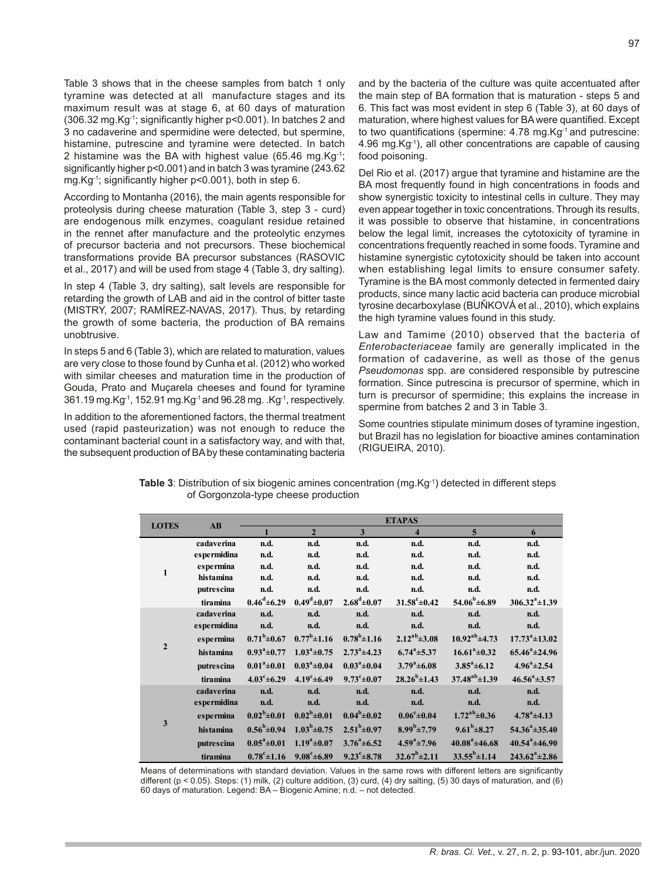Table 3 shows that in the cheese samples from batch 1 only tyramine was detected at all manufacture stages and its maximum result was at stage 6, at 60 days of maturation (306.32 mg.Kg-1; significantly higher p<0.001). In batches 2 and 3 no cadaverine and spermidine were detected, but spermine, histamine, putrescine and tyramine were detected. In batch 2 histamine was the BA with highest value (65.46 mg.Kg-1; significantly higher p<0.001) and in batch 3 was tyramine (243.62 mg.Kg-1; significantly higher p<0.001), both in step 6.

According to Montanha (2016), the main agents responsible for proteolysis during cheese maturation (Table 3, step 3 - curd) are endogenous milk enzymes, coagulant residue retained in the rennet after manufacture and the proteolytic enzymes of precursor bacteria and not precursors. These biochemical transformations provide BA precursor substances (RASOVIC et al., 2017) and will be used from stage 4 (Table 3, dry salting).

In step 4 (Table 3, dry salting), salt levels are responsible for retarding the growth of LAB and aid in the control of bitter taste (MISTRY, 2007; RAMÍREZ-NAVAS, 2017). Thus, by retarding the growth of some bacteria, the production of BA remains unobtrusive.

In steps 5 and 6 (Table 3), which are related to maturation, values are very close to those found by Cunha et al. (2012) who worked with similar cheeses and maturation time in the production of Gouda, Prato and Muçarela cheeses and found for tyramine 361.19 mg.Kg-1, 152.91 mg.Kg-1 and 96.28 mg. .Kg-1, respectively.

In addition to the aforementioned factors, the thermal treatment used (rapid pasteurization) was not enough to reduce the contaminant bacterial count in a satisfactory way, and with that, the subsequent production of BA by these contaminating bacteria and by the bacteria of the culture was quite accentuated after the main step of BA formation that is maturation - steps 5 and 6. This fact was most evident in step 6 (Table 3), at 60 days of maturation, where highest values for BA were quantified. Except to two quantifications (spermine: 4.78 mg.Kg-1 and putrescine: 4.96 mg.Kg-1), all other concentrations are capable of causing food poisoning.

Del Rio et al. (2017) argue that tyramine and histamine are the BA most frequently found in high concentrations in foods and show synergistic toxicity to intestinal cells in culture. They may even appear together in toxic concentrations. Through its results, it was possible to observe that histamine, in concentrations below the legal limit, increases the cytotoxicity of tyramine in concentrations frequently reached in some foods. Tyramine and histamine synergistic cytotoxicity should be taken into account when establishing legal limits to ensure consumer safety. Tyramine is the BA most commonly detected in fermented dairy products, since many lactic acid bacteria can produce microbial tyrosine decarboxylase (BUŇKOVÁ et al., 2010), which explains the high tyramine values found in this study.

Law and Tamime (2010) observed that the bacteria of *Enterobacteriaceae* family are generally implicated in the formation of cadaverine, as well as those of the genus *Pseudomonas* spp. are considered responsible by putrescine formation. Since putrescina is precursor of spermine, which in turn is precursor of spermidine; this explains the increase in spermine from batches 2 and 3 in Table 3.

Some countries stipulate minimum doses of tyramine ingestion, but Brazil has no legislation for bioactive amines contamination (RIGUEIRA, 2010).

| <b>LOTES</b>   | $\mathbf{A}\mathbf{B}$ | <b>ETAPAS</b>           |                         |                         |                          |                        |                           |  |
|----------------|------------------------|-------------------------|-------------------------|-------------------------|--------------------------|------------------------|---------------------------|--|
|                |                        | $\mathbf{1}$            | $\overline{2}$          | 3                       | $\overline{\bf{4}}$      | 5                      | 6                         |  |
| 1              | cadaverina             | n.d.                    | n.d.                    | n.d.                    | n.d.                     | n.d.                   | n.d.                      |  |
|                | espermidina            | n.d.                    | n.d.                    | n.d.                    | n.d.                     | n.d.                   | n.d.                      |  |
|                | espermina              | n.d.                    | n.d.                    | n.d.                    | n.d.                     | n.d.                   | n.d.                      |  |
|                | histamina              | n.d.                    | n.d.                    | n.d.                    | n.d.                     | n.d.                   | n.d.                      |  |
|                | putrescina             | n.d.                    | n.d.                    | n.d.                    | n.d.                     | n.d.                   | n.d.                      |  |
|                | tiramina               | $0.46^{\rm d} \pm 6.29$ | $0.49^{\rm d} \pm 0.07$ | $2.68^{\rm d} \pm 0.07$ | $31.58^{\circ} \pm 0.42$ | $54.06^b \pm 6.89$     | $306.32^a \pm 1.39$       |  |
|                | cadaverina             | n.d.                    | n.d.                    | n.d.                    | n.d.                     | n.d.                   | n.d.                      |  |
|                | espermidina            | n.d.                    | n.d.                    | n.d.                    | n.d.                     | n.d.                   | n.d.                      |  |
|                | espermina              | $0.71^b \pm 0.67$       | $0.77^b \pm 1.16$       | $0.78^b \pm 1.16$       | $2.12^{ab} \pm 3.08$     | $10.92^{ab}$ ±4.73     | $17.73^a \pm 13.02$       |  |
| $\overline{2}$ | histamina              | $0.93^a \pm 0.77$       | $1.03^a \pm 0.75$       | $2.73^{\circ}$ ±4.23    | $6.74^a \pm 5.37$        | $16.61^a \pm 0.32$     | $65.46^a \pm 24.96$       |  |
|                | putrescina             | $0.01^a \pm 0.01$       | $0.03^a \pm 0.04$       | $0.03^a \pm 0.04$       | $3.79^a \pm 6.08$        | $3.85^a \pm 6.12$      | $4.96^a \pm 2.54$         |  |
|                | tiramina               | $4.03^{\circ} \pm 6.29$ | $4.19^{\circ} \pm 6.49$ | $9.73^{\rm c} \pm 0.07$ | $28.26^{b} \pm 1.43$     | $37.48^{ab} \pm 1.39$  | $46.56^a \pm 3.57$        |  |
| 3              | cadaverina             | n.d.                    | n.d.                    | n.d.                    | n.d.                     | n.d.                   | n.d.                      |  |
|                | espermidina            | n.d.                    | n.d.                    | n.d.                    | n.d.                     | n.d.                   | n.d.                      |  |
|                | espermina              | $0.02^b \pm 0.01$       | $0.02^b \pm 0.01$       | $0.04^b \pm 0.02$       | $0.06^{\rm c}$ ±0.04     | $1.72^{ab} \pm 0.36$   | $4.78^a \pm 4.13$         |  |
|                | histamina              | $0.56^b \pm 0.94$       | $1.03^{\rm b} \pm 0.75$ | $2.51^b \pm 0.97$       | $8.99^{b} \pm 7.79$      | $9.61^b \pm 8.27$      | $54.36^{\circ} \pm 35.40$ |  |
|                | putrescina             | $0.05^{\circ}$ ±0.01    | $1.19^a \pm 0.07$       | $3.76^{\circ} \pm 6.52$ | $4.59^a \pm 7.96$        | $40.08^{\circ}$ ±46.68 | $40.54^{\circ}$ ±46.90    |  |
|                | tiramina               | $0.78^{\rm c}$ ±1.16    | $9.08^{\circ} \pm 6.89$ | $9.23^{\circ} \pm 8.78$ | $32.67^b \pm 2.11$       | $33.55^{b} \pm 1.14$   | $243.62^a \pm 2.86$       |  |

**Table 3**: Distribution of six biogenic amines concentration (mg.Kg<sup>-1</sup>) detected in different steps of Gorgonzola-type cheese production

Means of determinations with standard deviation. Values in the same rows with different letters are significantly different (p < 0.05). Steps: (1) milk, (2) culture addition, (3) curd, (4) dry salting, (5) 30 days of maturation, and (6) 60 days of maturation. Legend: BA – Biogenic Amine; n.d. – not detected.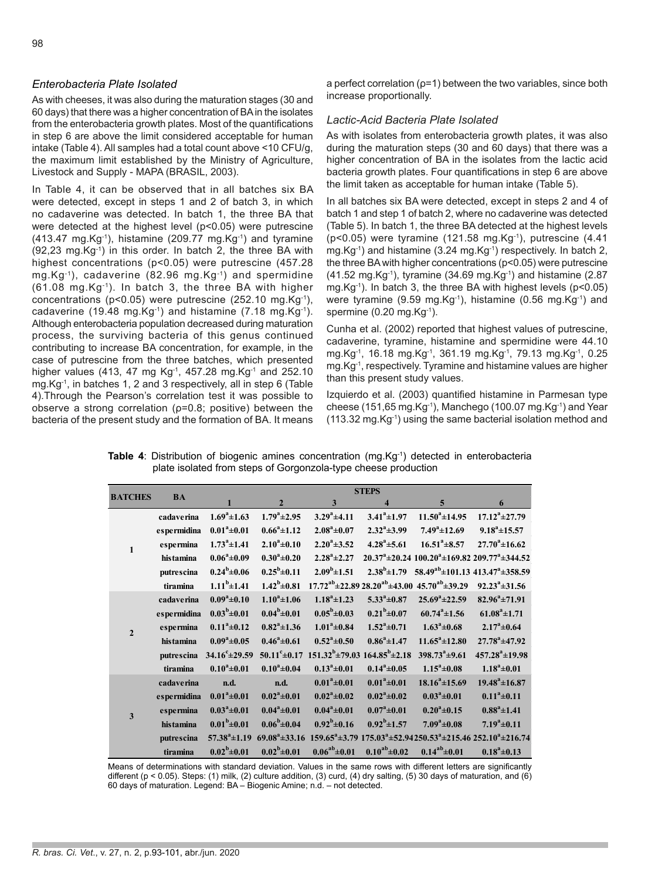## *Enterobacteria Plate Isolated*

As with cheeses, it was also during the maturation stages (30 and 60 days) that there was a higher concentration of BA in the isolates from the enterobacteria growth plates. Most of the quantifications in step 6 are above the limit considered acceptable for human intake (Table 4). All samples had a total count above <10 CFU/g, the maximum limit established by the Ministry of Agriculture, Livestock and Supply - MAPA (BRASIL, 2003).

In Table 4, it can be observed that in all batches six BA were detected, except in steps 1 and 2 of batch 3, in which no cadaverine was detected. In batch 1, the three BA that were detected at the highest level (p<0.05) were putrescine  $(413.47 \text{ mg.Kg}^{-1})$ , histamine  $(209.77 \text{ mg.Kg}^{-1})$  and tyramine  $(92,23 \text{ mg.Kg}^{-1})$  in this order. In batch 2, the three BA with highest concentrations (p<0.05) were putrescine (457.28 mg.Kg-1), cadaverine (82.96 mg.Kg-1) and spermidine (61.08 mg.Kg-1). In batch 3, the three BA with higher concentrations (p<0.05) were putrescine (252.10 mg.Kg-1), cadaverine (19.48 mg.Kg-1) and histamine (7.18 mg.Kg-1). Although enterobacteria population decreased during maturation process, the surviving bacteria of this genus continued contributing to increase BA concentration, for example, in the case of putrescine from the three batches, which presented higher values (413, 47 mg Kg<sup>-1</sup>, 457.28 mg.Kg<sup>-1</sup> and 252.10 mg.Kg-1, in batches 1, 2 and 3 respectively, all in step 6 (Table 4).Through the Pearson's correlation test it was possible to observe a strong correlation (ρ=0.8; positive) between the bacteria of the present study and the formation of BA. It means a perfect correlation (ρ=1) between the two variables, since both increase proportionally.

## *Lactic-Acid Bacteria Plate Isolated*

As with isolates from enterobacteria growth plates, it was also during the maturation steps (30 and 60 days) that there was a higher concentration of BA in the isolates from the lactic acid bacteria growth plates. Four quantifications in step 6 are above the limit taken as acceptable for human intake (Table 5).

In all batches six BA were detected, except in steps 2 and 4 of batch 1 and step 1 of batch 2, where no cadaverine was detected (Table 5). In batch 1, the three BA detected at the highest levels ( $p$ <0.05) were tyramine (121.58 mg.Kg $^{-1}$ ), putrescine (4.41 mg.Kg<sup>-1</sup>) and histamine (3.24 mg.Kg<sup>-1</sup>) respectively. In batch 2, the three BA with higher concentrations (p<0.05) were putrescine  $(41.52 \text{ mg.Kg}^{-1})$ , tyramine  $(34.69 \text{ mg.Kg}^{-1})$  and histamine  $(2.87 \text{ g}^{-1})$ mg.Kg-1). In batch 3, the three BA with highest levels (p<0.05) were tyramine (9.59 mg.Kg-1), histamine (0.56 mg.Kg-1) and spermine  $(0.20 \text{ mg.Kg}^{-1})$ .

Cunha et al. (2002) reported that highest values of putrescine, cadaverine, tyramine, histamine and spermidine were 44.10 mg.Kg-1, 16.18 mg.Kg-1, 361.19 mg.Kg-1, 79.13 mg.Kg-1, 0.25 mg.Kg-1, respectively. Tyramine and histamine values are higher than this present study values.

Izquierdo et al. (2003) quantified histamine in Parmesan type cheese (151,65 mg.Kg $^{-1}$ ), Manchego (100.07 mg.Kg $^{-1}$ ) and Year (113.32 mg.Kg-1) using the same bacterial isolation method and

**Table 4:** Distribution of biogenic amines concentration (mg.Kg<sup>-1</sup>) detected in enterobacteria plate isolated from steps of Gorgonzola-type cheese production

| <b>BATCHES</b> | <b>BA</b>   | <b>STEPS</b>              |                          |                                          |                         |                                                                |                                                                                     |
|----------------|-------------|---------------------------|--------------------------|------------------------------------------|-------------------------|----------------------------------------------------------------|-------------------------------------------------------------------------------------|
|                |             | 1                         | $\overline{2}$           | $\mathbf{3}$                             | $\overline{\mathbf{4}}$ | $\overline{5}$                                                 | 6                                                                                   |
| $\mathbf{1}$   | cadaverina  | $1.69^{\degree}\pm 1.63$  | $1.79^a \pm 2.95$        | $3.29^a \pm 4.11$                        | $3.41^a \pm 1.97$       | $11.50^a \pm 14.95$                                            | $17.12^a \pm 27.79$                                                                 |
|                | espermidina | $0.01^a \pm 0.01$         | $0.66^a \pm 1.12$        | $2.08^a \pm 0.07$                        | $2.32^a \pm 3.99$       | $7.49^a \pm 12.69$                                             | $9.18^a \pm 15.57$                                                                  |
|                | espermina   | $1.73^a \pm 1.41$         | $2.10^a \pm 0.10$        | $2.20^a \pm 3.52$                        | $4.28^a \pm 5.61$       | $16.51^a \pm 8.57$                                             | $27.70^a \pm 16.62$                                                                 |
|                | histamina   | $0.06^a \pm 0.09$         | $0.30^a \pm 0.20$        | $2.28^a \pm 2.27$                        |                         |                                                                | $20.37^a \pm 20.24$ 100.20 $^a \pm 169.82$ 209.77 $^a \pm 344.52$                   |
|                | putrescina  | $0.24^b \pm 0.06$         | $0.25^b \pm 0.11$        | $2.09^b \pm 1.51$                        |                         |                                                                | $2.38^b \pm 1.79$ 58.49 <sup>ab</sup> $\pm$ 101.13 413.47 <sup>a</sup> $\pm$ 358.59 |
|                | tiramina    | $1.11^b \pm 1.41$         | $1.42^b \pm 0.81$        |                                          |                         | $17.72^{ab} \pm 22.8928.20^{ab} \pm 43.0045.70^{ab} \pm 39.29$ | $92.23^a \pm 31.56$                                                                 |
|                | cadaverina  | $0.09^a \pm 0.10$         | $1.10^a \pm 1.06$        | $1.18^a \pm 1.23$                        | $5.33^{\circ} \pm 0.87$ | $25.69^a \pm 22.59$                                            | $82.96^a \pm 71.91$                                                                 |
|                | espermidina | $0.03^b \pm 0.01$         | $0.04^b \pm 0.01$        | $0.05^b \pm 0.03$                        | $0.21^b \pm 0.07$       | $60.74^a \pm 1.56$                                             | $61.08^a \pm 1.71$                                                                  |
| $\overline{2}$ | espermina   | $0.11^a \pm 0.12$         | $0.82^a \pm 1.36$        | $1.01^a \pm 0.84$                        | $1.52^a \pm 0.71$       | $1.63^{\circ}$ ±0.68                                           | $2.17^a \pm 0.64$                                                                   |
|                | histamina   | $0.09^a \pm 0.05$         | $0.46^a \pm 0.61$        | $0.52^a \pm 0.50$                        | $0.86^a \pm 1.47$       | $11.65^a \pm 12.80$                                            | $27.78^a \pm 47.92$                                                                 |
|                | putrescina  | $34.16^{\circ} \pm 29.59$ | $50.11^{\circ} \pm 0.17$ | $151.32^b \pm 79.03$ $164.85^b \pm 2.18$ |                         | $398.73^a \pm 9.61$                                            | $457.28^a \pm 19.98$                                                                |
|                | tiramina    | $0.10^a \pm 0.01$         | $0.10^a \pm 0.04$        | $0.13^a \pm 0.01$                        | $0.14^a \pm 0.05$       | $1.15^a \pm 0.08$                                              | $1.18^a \pm 0.01$                                                                   |
|                | cadaverina  | n.d.                      | n.d.                     | $0.01^a \pm 0.01$                        | $0.01^a \pm 0.01$       | $18.16^a \pm 15.69$                                            | $19.48^a \pm 16.87$                                                                 |
|                | espermidina | $0.01^a \pm 0.01$         | $0.02^a \pm 0.01$        | $0.02^{\degree}\pm0.02$                  | $0.02^{\rm a} \pm 0.02$ | $0.03^{\circ} \pm 0.01$                                        | $0.11^a \pm 0.11$                                                                   |
| 3              | espermina   | $0.03^a \pm 0.01$         | $0.04^a \pm 0.01$        | $0.04^a \pm 0.01$                        | $0.07^{\circ}$ ±0.01    | $0.20^a \pm 0.15$                                              | $0.88^a \pm 1.41$                                                                   |
|                | histamina   | $0.01^b \pm 0.01$         | $0.06^b \pm 0.04$        | $0.92^b \pm 0.16$                        | $0.92^b \pm 1.57$       | $7.09^a \pm 0.08$                                              | $7.19^a \pm 0.11$                                                                   |
|                | putrescina  | $57.38^a \pm 1.19$        | $69.08^a \pm 33.16$      |                                          |                         |                                                                | $159.65^a \pm 3.79$ $175.03^a \pm 52.94250.53^a \pm 215.46$ $252.10^a \pm 216.74$   |
|                | tiramina    | $0.02^b \pm 0.01$         | $0.02^b \pm 0.01$        | $0.06^{ab} \pm 0.01$                     | $0.10^{ab} \pm 0.02$    | $0.14^{ab} \pm 0.01$                                           | $0.18^a \pm 0.13$                                                                   |

Means of determinations with standard deviation. Values in the same rows with different letters are significantly different ( $p < 0.05$ ). Steps: (1) milk, (2) culture addition, (3) curd, (4) dry salting, (5) 30 days of maturation, and (6) 60 days of maturation. Legend: BA – Biogenic Amine; n.d. – not detected.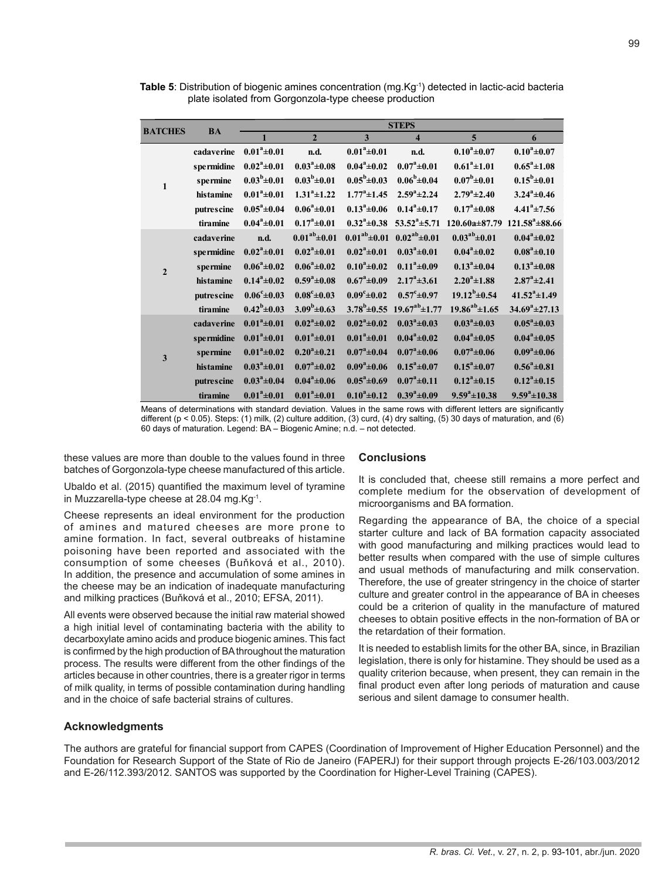| <b>BATCHES</b>          | <b>BA</b>       | <b>STEPS</b>            |                         |                         |                                                  |                         |                          |  |
|-------------------------|-----------------|-------------------------|-------------------------|-------------------------|--------------------------------------------------|-------------------------|--------------------------|--|
|                         |                 | $\mathbf{1}$            | $\overline{2}$          | $\overline{\mathbf{3}}$ | $\overline{\mathbf{4}}$                          | 5                       | 6                        |  |
| $\mathbf{1}$            | cadaverine      | $0.01^a \pm 0.01$       | n.d.                    | $0.01^a \pm 0.01$       | n.d.                                             | $0.10^a \pm 0.07$       | $0.10^a \pm 0.07$        |  |
|                         | s permidine     | $0.02^a \pm 0.01$       | $0.03^{\rm a}$ ±0.08    | $0.04^a \pm 0.02$       | $0.07^{\circ}$ ±0.01                             | $0.61^a \pm 1.01$       | $0.65^a \pm 1.08$        |  |
|                         | s permine       | $0.03^b \pm 0.01$       | $0.03^b \pm 0.01$       | $0.05^b \pm 0.03$       | $0.06^b \pm 0.04$                                | $0.07^b \pm 0.01$       | $0.15^b \pm 0.01$        |  |
|                         | histamine       | $0.01^a \pm 0.01$       | $1.31^a \pm 1.22$       | $1.77^{\rm a}$ ±1.45    | $2.59^a \pm 2.24$                                | $2.79^a \pm 2.40$       | $3.24^a \pm 0.46$        |  |
|                         | putrescine      | $0.05^a \pm 0.04$       | $0.06^a \pm 0.01$       | $0.13^{\circ}$ ±0.06    | $0.14^a \pm 0.17$                                | $0.17^{\circ}$ ±0.08    | $4.41^a \pm 7.56$        |  |
|                         | tiramine        | $0.04^a \pm 0.01$       | $0.17^{\circ}$ ±0.01    | $0.32^{\rm a} \pm 0.38$ | $53.52^a \pm 5.71$                               | $120.60a \pm 87.79$     | $121.58^{\circ}$ ± 88.66 |  |
|                         | cadaverine      | n.d.                    | $0.01^{ab} \pm 0.01$    | $0.01^{ab} \pm 0.01$    | $0.02^{ab} \pm 0.01$                             | $0.03^{ab} \pm 0.01$    | $0.04^a \pm 0.02$        |  |
|                         | s permidine     | $0.02^a \pm 0.01$       | $0.02^a \pm 0.01$       | $0.02^a \pm 0.01$       | $0.03^a \pm 0.01$                                | $0.04^a \pm 0.02$       | $0.08^a \pm 0.10$        |  |
| $\overline{2}$          | <b>spermine</b> | $0.06^a \pm 0.02$       | $0.06^a \pm 0.02$       | $0.10^a \pm 0.02$       | $0.11^{\degree}\pm0.09$                          | $0.13^{\circ} \pm 0.04$ | $0.13^{\circ} \pm 0.08$  |  |
|                         | histamine       | $0.14^a \pm 0.02$       | $0.59^a \pm 0.08$       | $0.67^{\rm a}$ ±0.09    | $2.17^{\circ}$ ±3.61                             | $2.20^a \pm 1.88$       | $2.87^{\circ}$ ±2.41     |  |
|                         | putrescine      | $0.06^{\rm c} \pm 0.03$ | $0.08^{\rm c}$ ±0.03    | $0.09^{\rm c} \pm 0.02$ | $0.57^{\rm c} \pm 0.97$                          | $19.12^b \pm 0.54$      | $41.52^a \pm 1.49$       |  |
|                         | tiramine        | $0.42^b \pm 0.03$       | $3.09^b \pm 0.63$       |                         | $3.78^b \pm 0.55$ 19.67 <sup>ab</sup> $\pm 1.77$ | $19.86^{ab} \pm 1.65$   | $34.69^a \pm 27.13$      |  |
|                         | cadaverine      | $0.01^a \pm 0.01$       | $0.02^{\rm a} \pm 0.02$ | $0.02^a \pm 0.02$       | $0.03^{\circ}$ ±0.03                             | $0.03^{\circ} \pm 0.03$ | $0.05^{\circ}$ ±0.03     |  |
| $\overline{\mathbf{3}}$ | s permidine     | $0.01^a \pm 0.01$       | $0.01^a \pm 0.01$       | $0.01^a \pm 0.01$       | $0.04^a \pm 0.02$                                | $0.04^a \pm 0.05$       | $0.04^a \pm 0.05$        |  |
|                         | s permine       | $0.01^a \pm 0.02$       | $0.20^a \pm 0.21$       | $0.07^{\rm a}$ ±0.04    | $0.07^{\rm a}$ ±0.06                             | $0.07^{\rm a}$ ±0.06    | $0.09^a \pm 0.06$        |  |
|                         | histamine       | $0.03^a \pm 0.01$       | $0.07^{\rm a}$ ±0.02    | $0.09^a \pm 0.06$       | $0.15^a \pm 0.07$                                | $0.15^a \pm 0.07$       | $0.56^a \pm 0.81$        |  |
|                         | putrescine      | $0.03^a \pm 0.04$       | $0.04^a \pm 0.06$       | $0.05^{\circ}$ ±0.69    | $0.07^{\circ}$ ±0.11                             | $0.12^a \pm 0.15$       | $0.12^a \pm 0.15$        |  |
|                         | tiramine        | $0.01^a \pm 0.01$       | $0.01^a \pm 0.01$       | $0.10^a \pm 0.12$       | $0.39^a \pm 0.09$                                | $9.59^a \pm 10.38$      | $9.59^a \pm 10.38$       |  |

**Table 5**: Distribution of biogenic amines concentration (mg.Kg<sup>-1</sup>) detected in lactic-acid bacteria plate isolated from Gorgonzola-type cheese production

Means of determinations with standard deviation. Values in the same rows with different letters are significantly different (p < 0.05). Steps: (1) milk, (2) culture addition, (3) curd, (4) dry salting, (5) 30 days of maturation, and (6) 60 days of maturation. Legend: BA – Biogenic Amine; n.d. – not detected.

these values are more than double to the values found in three batches of Gorgonzola-type cheese manufactured of this article.

Ubaldo et al. (2015) quantified the maximum level of tyramine in Muzzarella-type cheese at 28.04 mg.Kg-1.

Cheese represents an ideal environment for the production of amines and matured cheeses are more prone to amine formation. In fact, several outbreaks of histamine poisoning have been reported and associated with the consumption of some cheeses (Buňková et al., 2010). In addition, the presence and accumulation of some amines in the cheese may be an indication of inadequate manufacturing and milking practices (Buňková et al., 2010; EFSA, 2011).

All events were observed because the initial raw material showed a high initial level of contaminating bacteria with the ability to decarboxylate amino acids and produce biogenic amines. This fact is confirmed by the high production of BA throughout the maturation process. The results were different from the other findings of the articles because in other countries, there is a greater rigor in terms of milk quality, in terms of possible contamination during handling and in the choice of safe bacterial strains of cultures.

## **Acknowledgments**

#### **Conclusions**

It is concluded that, cheese still remains a more perfect and complete medium for the observation of development of microorganisms and BA formation.

Regarding the appearance of BA, the choice of a special starter culture and lack of BA formation capacity associated with good manufacturing and milking practices would lead to better results when compared with the use of simple cultures and usual methods of manufacturing and milk conservation. Therefore, the use of greater stringency in the choice of starter culture and greater control in the appearance of BA in cheeses could be a criterion of quality in the manufacture of matured cheeses to obtain positive effects in the non-formation of BA or the retardation of their formation.

It is needed to establish limits for the other BA, since, in Brazilian legislation, there is only for histamine. They should be used as a quality criterion because, when present, they can remain in the final product even after long periods of maturation and cause serious and silent damage to consumer health.

The authors are grateful for financial support from CAPES (Coordination of Improvement of Higher Education Personnel) and the Foundation for Research Support of the State of Rio de Janeiro (FAPERJ) for their support through projects E-26/103.003/2012 and E-26/112.393/2012. SANTOS was supported by the Coordination for Higher-Level Training (CAPES).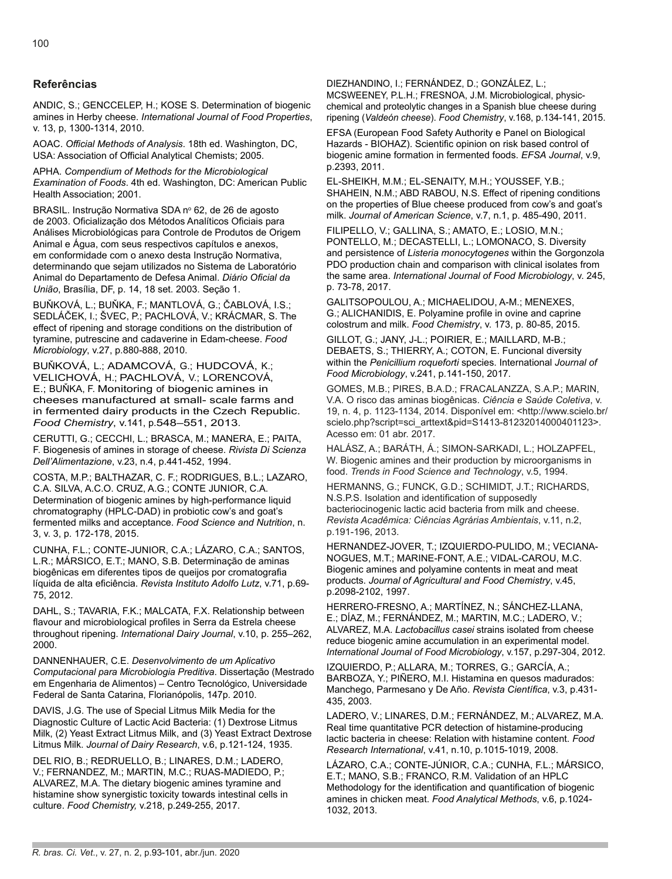## **Referências**

ANDIC, S.; GENCCELEP, H.; KOSE S. Determination of biogenic amines in Herby cheese. *International Journal of Food Properties*, v. 13, p, 1300-1314, 2010.

AOAC. *Official Methods of Analysis*. 18th ed. Washington, DC, USA: Association of Official Analytical Chemists; 2005.

APHA. *Compendium of Methods for the Microbiological Examination of Foods*. 4th ed. Washington, DC: American Public Health Association; 2001.

BRASIL. Instrução Normativa SDA nº 62, de 26 de agosto de 2003. Oficialização dos Métodos Analíticos Oficiais para Análises Microbiológicas para Controle de Produtos de Origem Animal e Água, com seus respectivos capítulos e anexos, em conformidade com o anexo desta Instrução Normativa, determinando que sejam utilizados no Sistema de Laboratório Animal do Departamento de Defesa Animal. *Diário Oficial da União*, Brasília, DF, p. 14, 18 set. 2003. Seção 1.

BUŇKOVÁ, L.; BUŇKA, F.; MANTLOVÁ, G.; ČABLOVÁ, I.S.; SEDLÁČEK, I.; ŠVEC, P.; PACHLOVÁ, V.; KRÁCMAR, S. The effect of ripening and storage conditions on the distribution of tyramine, putrescine and cadaverine in Edam-cheese. *Food Microbiology*, v.27, p.880-888, 2010.

BUŇKOVÁ, L.; ADAMCOVÁ, G.; HUDCOVÁ, K.; VELICHOVÁ, H.; PACHLOVÁ, V.; LORENCOVÁ, E.; BUŇKA, F. Monitoring of biogenic amines in cheeses manufactured at small- scale farms and in fermented dairy products in the Czech Republic. *Food Chemistry*, v.141, p.548–551, 2013.

CERUTTI, G.; CECCHI, L.; BRASCA, M.; MANERA, E.; PAITA, F. Biogenesis of amines in storage of cheese. *Rivista Di Scienza Dell'Alimentazione*, v.23, n.4, p.441-452, 1994.

COSTA, M.P.; BALTHAZAR, C. F.; RODRIGUES, B.L.; LAZARO, C.A. SILVA, A.C.O. CRUZ, A.G.; CONTE JUNIOR, C.A. Determination of biogenic amines by high-performance liquid chromatography (HPLC-DAD) in probiotic cow's and goat's fermented milks and acceptance. *Food Science and Nutrition*, n. 3, v. 3, p. 172-178, 2015.

CUNHA, F.L.; CONTE-JUNIOR, C.A.; LÁZARO, C.A.; SANTOS, L.R.; MÁRSICO, E.T.; MANO, S.B. Determinação de aminas biogênicas em diferentes tipos de queijos por cromatografia líquida de alta eficiência. *Revista Instituto Adolfo Lutz*, v.71, p.69- 75, 2012.

DAHL, S.; TAVARIA, F.K.; MALCATA, F.X. Relationship between flavour and microbiological profiles in Serra da Estrela cheese throughout ripening. *International Dairy Journal*, v.10, p. 255–262, 2000.

DANNENHAUER, C.E. *Desenvolvimento de um Aplicativo Computacional para Microbiologia Preditiva*. Dissertação (Mestrado em Engenharia de Alimentos) – Centro Tecnológico, Universidade Federal de Santa Catarina, Florianópolis, 147p. 2010.

DAVIS, J.G. The use of Special Litmus Milk Media for the Diagnostic Culture of Lactic Acid Bacteria: (1) Dextrose Litmus Milk, (2) Yeast Extract Litmus Milk, and (3) Yeast Extract Dextrose Litmus Milk. *Journal of Dairy Research*, v.6, p.121-124, 1935.

DEL RIO, B.; REDRUELLO, B.; LINARES, D.M.; LADERO, V.; FERNANDEZ, M.; MARTIN, M.C.; RUAS-MADIEDO, P.; ALVAREZ, M.A. The dietary biogenic amines tyramine and histamine show synergistic toxicity towards intestinal cells in culture. *Food Chemistry,* v.218, p.249-255, 2017.

DIEZHANDINO, I.; FERNÁNDEZ, D.; GONZÁLEZ, L.; MCSWEENEY, P.L.H.; FRESNOA, J.M. Microbiological, physicchemical and proteolytic changes in a Spanish blue cheese during ripening (*Valdeón cheese*). *Food Chemistry*, v.168, p.134-141, 2015.

EFSA (European Food Safety Authority e Panel on Biological Hazards - BIOHAZ). Scientific opinion on risk based control of biogenic amine formation in fermented foods. *EFSA Journal*, v.9, p.2393, 2011.

EL-SHEIKH, M.M.; EL-SENAITY, M.H.; YOUSSEF, Y.B.; SHAHEIN, N.M.; ABD RABOU, N.S. Effect of ripening conditions on the properties of Blue cheese produced from cow's and goat's milk. *Journal of American Science*, v.7, n.1, p. 485-490, 2011.

FILIPELLO, V.; GALLINA, S.; AMATO, E.; LOSIO, M.N.; PONTELLO, M.; DECASTELLI, L.; LOMONACO, S. Diversity and persistence of *Listeria monocytogenes* within the Gorgonzola PDO production chain and comparison with clinical isolates from the same area. *International Journal of Food Microbiology*, v. 245, p. 73-78, 2017.

GALITSOPOULOU, A.; MICHAELIDOU, A-M.; MENEXES, G.; ALICHANIDIS, E. Polyamine profile in ovine and caprine colostrum and milk. *Food Chemistry*, v. 173, p. 80-85, 2015.

GILLOT, G.; JANY, J-L.; POIRIER, E.; MAILLARD, M-B.; DEBAETS, S.; THIERRY, A.; COTON, E. Funcional diversity within the *Penicillium roqueforti* species. International *Journal of Food Microbiology*, v.241, p.141-150, 2017.

GOMES, M.B.; PIRES, B.A.D.; FRACALANZZA, S.A.P.; MARIN, V.A. O risco das aminas biogênicas. *Ciência e Saúde Coletiva*, v. 19, n. 4, p. 1123-1134, 2014. Disponível em: <http://www.scielo.br/ scielo.php?script=sci\_arttext&pid=S1413-81232014000401123>. Acesso em: 01 abr. 2017.

HALÁSZ, A.; BARÁTH, Á.; SIMON-SARKADI, L.; HOLZAPFEL, W. Biogenic amines and their production by microorganisms in food. *Trends in Food Science and Technology*, v.5, 1994.

HERMANNS, G.; FUNCK, G.D.; SCHIMIDT, J.T.; RICHARDS, N.S.P.S. Isolation and identification of supposedly bacteriocinogenic lactic acid bacteria from milk and cheese. *Revista Acadêmica: Ciências Agrárias Ambientais*, v.11, n.2, p.191-196, 2013.

HERNANDEZ-JOVER, T.; IZQUIERDO-PULIDO, M.; VECIANA-NOGUES, M.T.; MARINE-FONT, A.E.; VIDAL-CAROU, M.C. Biogenic amines and polyamine contents in meat and meat products. *Journal of Agricultural and Food Chemistry*, v.45, p.2098-2102, 1997.

HERRERO-FRESNO, A.; MARTÍNEZ, N.; SÁNCHEZ-LLANA, E.; DÍAZ, M.; FERNÁNDEZ, M.; MARTIN, M.C.; LADERO, V.; ALVAREZ, M.A. *Lactobacillus casei* strains isolated from cheese reduce biogenic amine accumulation in an experimental model. *International Journal of Food Microbiology*, v.157, p.297-304, 2012.

IZQUIERDO, P.; ALLARA, M.; TORRES, G.; GARCÍA, A.; BARBOZA, Y.; PIÑERO, M.I. Histamina en quesos madurados: Manchego, Parmesano y De Año. *Revista Científica*, v.3, p.431- 435, 2003.

LADERO, V.; LINARES, D.M.; FERNÁNDEZ, M.; ALVAREZ, M.A. Real time quantitative PCR detection of histamine-producing lactic bacteria in cheese: Relation with histamine content. *Food Research International*, v.41, n.10, p.1015-1019, 2008.

LÁZARO, C.A.; CONTE-JÚNIOR, C.A.; CUNHA, F.L.; MÁRSICO, E.T.; MANO, S.B.; FRANCO, R.M. Validation of an HPLC Methodology for the identification and quantification of biogenic amines in chicken meat. *Food Analytical Methods*, v.6, p.1024- 1032, 2013.